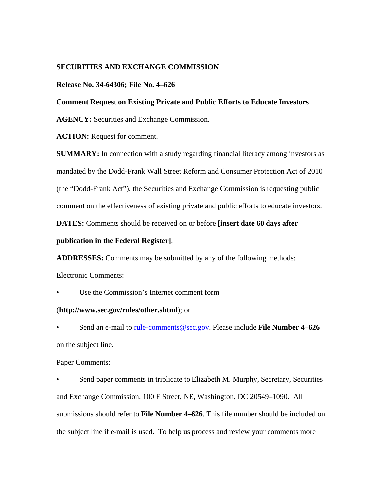# **SECURITIES AND EXCHANGE COMMISSION**

## **Release No. 34-64306; File No. 4–626**

## **Comment Request on Existing Private and Public Efforts to Educate Investors**

**AGENCY:** Securities and Exchange Commission.

**ACTION:** Request for comment.

**SUMMARY:** In connection with a study regarding financial literacy among investors as mandated by the Dodd-Frank Wall Street Reform and Consumer Protection Act of 2010 (the "Dodd-Frank Act"), the Securities and Exchange Commission is requesting public comment on the effectiveness of existing private and public efforts to educate investors.

**DATES:** Comments should be received on or before **[insert date 60 days after** 

## **publication in the Federal Register]**.

**ADDRESSES:** Comments may be submitted by any of the following methods:

#### Electronic Comments:

Use the Commission's Internet comment form

## (**http://www.sec.gov/rules/other.shtml**); or

• Send an e-mail to rule-comments@sec.gov. Please include **File Number 4–626**  on the subject line.

## Paper Comments:

Send paper comments in triplicate to Elizabeth M. Murphy, Secretary, Securities and Exchange Commission, 100 F Street, NE, Washington, DC 20549–1090. All submissions should refer to **File Number 4–626**. This file number should be included on the subject line if e-mail is used. To help us process and review your comments more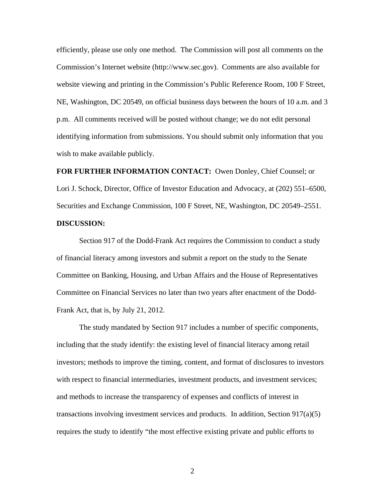efficiently, please use only one method. The Commission will post all comments on the Commission's Internet website (http://www.sec.gov). Comments are also available for website viewing and printing in the Commission's Public Reference Room, 100 F Street, NE, Washington, DC 20549, on official business days between the hours of 10 a.m. and 3 p.m. All comments received will be posted without change; we do not edit personal identifying information from submissions. You should submit only information that you wish to make available publicly.

**FOR FURTHER INFORMATION CONTACT:** Owen Donley, Chief Counsel; or Lori J. Schock, Director, Office of Investor Education and Advocacy, at (202) 551–6500, Securities and Exchange Commission, 100 F Street, NE, Washington, DC 20549–2551. **DISCUSSION:** 

Section 917 of the Dodd-Frank Act requires the Commission to conduct a study of financial literacy among investors and submit a report on the study to the Senate Committee on Banking, Housing, and Urban Affairs and the House of Representatives Committee on Financial Services no later than two years after enactment of the Dodd-Frank Act, that is, by July 21, 2012.

The study mandated by Section 917 includes a number of specific components, including that the study identify: the existing level of financial literacy among retail investors; methods to improve the timing, content, and format of disclosures to investors with respect to financial intermediaries, investment products, and investment services; and methods to increase the transparency of expenses and conflicts of interest in transactions involving investment services and products. In addition, Section  $917(a)(5)$ requires the study to identify "the most effective existing private and public efforts to

2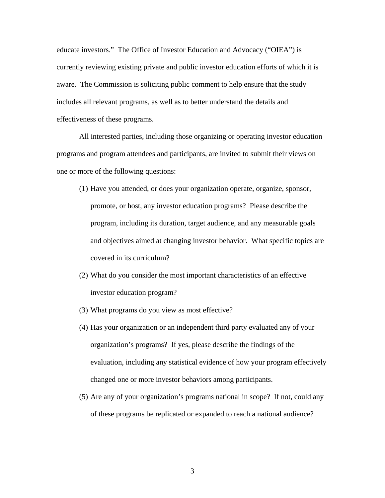educate investors." The Office of Investor Education and Advocacy ("OIEA") is currently reviewing existing private and public investor education efforts of which it is aware. The Commission is soliciting public comment to help ensure that the study includes all relevant programs, as well as to better understand the details and effectiveness of these programs.

All interested parties, including those organizing or operating investor education programs and program attendees and participants, are invited to submit their views on one or more of the following questions:

- (1) Have you attended, or does your organization operate, organize, sponsor, promote, or host, any investor education programs? Please describe the program, including its duration, target audience, and any measurable goals and objectives aimed at changing investor behavior. What specific topics are covered in its curriculum?
- (2) What do you consider the most important characteristics of an effective investor education program?
- (3) What programs do you view as most effective?
- (4) Has your organization or an independent third party evaluated any of your organization's programs? If yes, please describe the findings of the evaluation, including any statistical evidence of how your program effectively changed one or more investor behaviors among participants.
- (5) Are any of your organization's programs national in scope? If not, could any of these programs be replicated or expanded to reach a national audience?